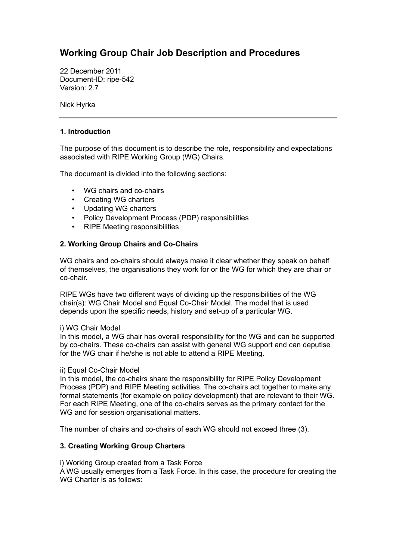# **Working Group Chair Job Description and Procedures**

22 December 2011 Document-ID: ripe-542 Version: 2.7

Nick Hyrka

### **1. Introduction**

The purpose of this document is to describe the role, responsibility and expectations associated with RIPE Working Group (WG) Chairs.

The document is divided into the following sections:

- WG chairs and co-chairs
- Creating WG charters
- Updating WG charters
- Policy Development Process (PDP) responsibilities
- RIPE Meeting responsibilities

# **2. Working Group Chairs and Co-Chairs**

WG chairs and co-chairs should always make it clear whether they speak on behalf of themselves, the organisations they work for or the WG for which they are chair or co-chair.

RIPE WGs have two different ways of dividing up the responsibilities of the WG chair(s): WG Chair Model and Equal Co-Chair Model. The model that is used depends upon the specific needs, history and set-up of a particular WG.

#### i) WG Chair Model

In this model, a WG chair has overall responsibility for the WG and can be supported by co-chairs. These co-chairs can assist with general WG support and can deputise for the WG chair if he/she is not able to attend a RIPE Meeting.

#### ii) Equal Co-Chair Model

In this model, the co-chairs share the responsibility for RIPE Policy Development Process (PDP) and RIPE Meeting activities. The co-chairs act together to make any formal statements (for example on policy development) that are relevant to their WG. For each RIPE Meeting, one of the co-chairs serves as the primary contact for the WG and for session organisational matters.

The number of chairs and co-chairs of each WG should not exceed three (3).

#### **3. Creating Working Group Charters**

i) Working Group created from a Task Force A WG usually emerges from a Task Force. In this case, the procedure for creating the WG Charter is as follows: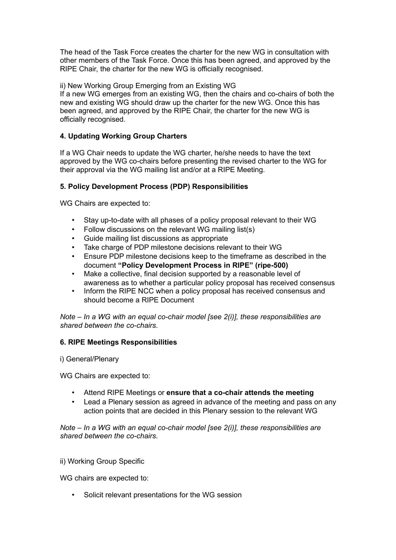The head of the Task Force creates the charter for the new WG in consultation with other members of the Task Force. Once this has been agreed, and approved by the RIPE Chair, the charter for the new WG is officially recognised.

ii) New Working Group Emerging from an Existing WG

If a new WG emerges from an existing WG, then the chairs and co-chairs of both the new and existing WG should draw up the charter for the new WG. Once this has been agreed, and approved by the RIPE Chair, the charter for the new WG is officially recognised.

# **4. Updating Working Group Charters**

If a WG Chair needs to update the WG charter, he/she needs to have the text approved by the WG co-chairs before presenting the revised charter to the WG for their approval via the WG mailing list and/or at a RIPE Meeting.

# **5. Policy Development Process (PDP) Responsibilities**

WG Chairs are expected to:

- Stay up-to-date with all phases of a policy proposal relevant to their WG
- Follow discussions on the relevant WG mailing list(s)
- Guide mailing list discussions as appropriate
- Take charge of PDP milestone decisions relevant to their WG
- Ensure PDP milestone decisions keep to the timeframe as described in the document **"Policy Development Process in RIPE" (ripe-500)**
- Make a collective, final decision supported by a reasonable level of awareness as to whether a particular policy proposal has received consensus
- Inform the RIPE NCC when a policy proposal has received consensus and should become a RIPE Document

*Note – In a WG with an equal co-chair model [see 2(i)], these responsibilities are shared between the co-chairs.*

# **6. RIPE Meetings Responsibilities**

i) General/Plenary

WG Chairs are expected to:

- Attend RIPE Meetings or **ensure that a co-chair attends the meeting**
- Lead a Plenary session as agreed in advance of the meeting and pass on any action points that are decided in this Plenary session to the relevant WG

*Note – In a WG with an equal co-chair model [see 2(i)], these responsibilities are shared between the co-chairs.*

# ii) Working Group Specific

WG chairs are expected to:

Solicit relevant presentations for the WG session